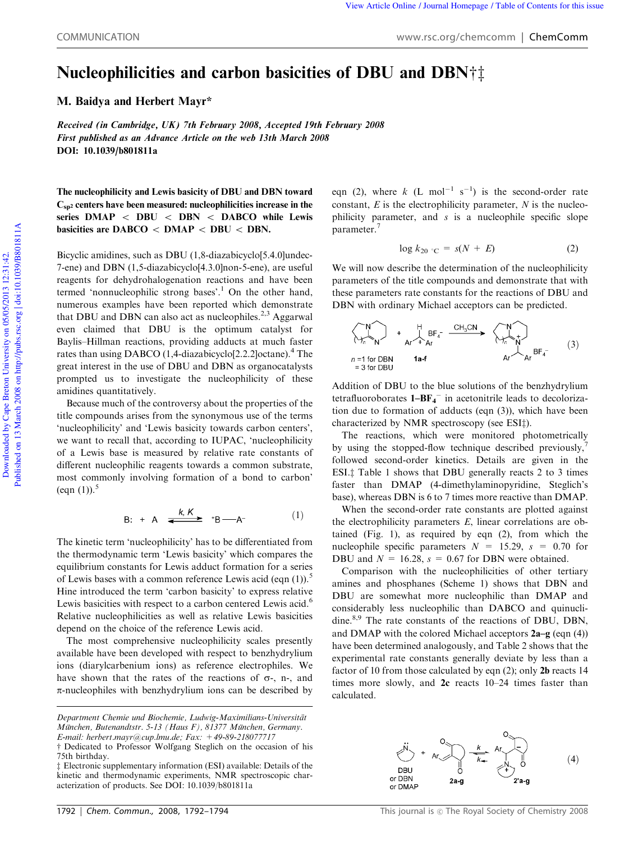## Nucleophilicities and carbon basicities of DBU and DBN† $\dagger$

M. Baidya and Herbert Mayr\*

Received (in Cambridge, UK) 7th February 2008, Accepted 19th February 2008 First published as an Advance Article on the web 13th March 2008 DOI: 10.1039/b801811a

The nucleophilicity and Lewis basicity of DBU and DBN toward  $C_{sp<sub>2</sub>}$  centers have been measured: nucleophilicities increase in the series  $DMAP < DBU < DBN < DABCO$  while Lewis basicities are  $DABCO < DMAP < DBU < DBN$ .

Bicyclic amidines, such as DBU (1,8-diazabicyclo[5.4.0]undec-7-ene) and DBN (1,5-diazabicyclo[4.3.0]non-5-ene), are useful reagents for dehydrohalogenation reactions and have been termed 'nonnucleophilic strong bases'.<sup>1</sup> On the other hand, numerous examples have been reported which demonstrate that DBU and DBN can also act as nucleophiles.<sup>2,3</sup> Aggarwal even claimed that DBU is the optimum catalyst for Baylis–Hillman reactions, providing adducts at much faster rates than using DABCO (1,4-diazabicyclo[2.2.2]octane).<sup>4</sup> The great interest in the use of DBU and DBN as organocatalysts prompted us to investigate the nucleophilicity of these amidines quantitatively.

Because much of the controversy about the properties of the title compounds arises from the synonymous use of the terms 'nucleophilicity' and 'Lewis basicity towards carbon centers', we want to recall that, according to IUPAC, 'nucleophilicity of a Lewis base is measured by relative rate constants of different nucleophilic reagents towards a common substrate, most commonly involving formation of a bond to carbon' (eqn  $(1)$ ).<sup>5</sup>

$$
B: + A \xrightarrow{k, K} {}^{*}B \longrightarrow A^{-} \qquad (1)
$$

The kinetic term 'nucleophilicity' has to be differentiated from the thermodynamic term 'Lewis basicity' which compares the equilibrium constants for Lewis adduct formation for a series of Lewis bases with a common reference Lewis acid (eqn  $(1)$ ).<sup>5</sup> Hine introduced the term 'carbon basicity' to express relative Lewis basicities with respect to a carbon centered Lewis acid.<sup>6</sup> Relative nucleophilicities as well as relative Lewis basicities depend on the choice of the reference Lewis acid.

The most comprehensive nucleophilicity scales presently available have been developed with respect to benzhydrylium ions (diarylcarbenium ions) as reference electrophiles. We have shown that the rates of the reactions of  $\sigma$ -, n-, and  $\pi$ -nucleophiles with benzhydrylium ions can be described by

eqn (2), where  $k$  (L mol<sup>-1</sup> s<sup>-1</sup>) is the second-order rate constant, *E* is the electrophilicity parameter, *N* is the nucleophilicity parameter, and *s* is a nucleophile specific slope parameter.<sup>7</sup>

$$
\log k_{20} \, {}^{\circ}\mathrm{C} = s(N + E) \tag{2}
$$

We will now describe the determination of the nucleophilicity parameters of the title compounds and demonstrate that with these parameters rate constants for the reactions of DBU and DBN with ordinary Michael acceptors can be predicted.

$$
\begin{array}{ccc}\n\begin{array}{ccc}\nN \\
\hline\n\end{array} & + & \begin{array}{ccc}\nH & & \text{BF}_{4} \\
\hline\n\end{array} & \xrightarrow{CH_{3}CN} & \begin{array}{ccc}\nN \\
\hline\n\end{array} & + & \begin{array}{ccc}\n\end{array} & \begin{array}{ccc}\n\end{array} & \begin{array}{ccc}\n\end{array} & \begin{array}{ccc}\n\end{array} & \begin{array}{ccc}\n\end{array} & \begin{array}{ccc}\n\end{array} & \begin{array}{ccc}\n\end{array} & \begin{array}{ccc}\n\end{array} & \begin{array}{ccc}\n\end{array} & \begin{array}{ccc}\n\end{array} & \begin{array}{ccc}\n\end{array} & \begin{array}{ccc}\n\end{array} & \begin{array}{ccc}\n\end{array} & \begin{array}{ccc}\n\end{array} & \begin{array}{ccc}\n\end{array} & \begin{array}{ccc}\n\end{array} & \begin{array}{ccc}\n\end{array} & \begin{array}{ccc}\n\end{array} & \begin{array}{ccc}\n\end{array} & \begin{array}{ccc}\n\end{array} & \begin{array}{ccc}\n\end{array} & \begin{array}{ccc}\n\end{array} & \begin{array}{ccc}\n\end{array} & \begin{array}{ccc}\n\end{array} & \begin{array}{ccc}\n\end{array} & \begin{array}{ccc}\n\end{array} & \begin{array}{ccc}\n\end{array} & \begin{array}{ccc}\n\end{array} & \begin{array}{ccc}\n\end{array} & \begin{array}{ccc}\n\end{array} & \begin{array}{ccc}\n\end{array} & \begin{array}{ccc}\n\end{array} & \begin{array}{ccc}\n\end{array} & \begin{array}{ccc}\n\end{array} & \begin{array}{ccc}\n\end{array} & \begin{array}{ccc}\n\end{array} & \begin{array}{ccc}\n\end{array} & \begin{array}{ccc}\n\end{array} & \begin{array}{ccc}\n\end{array} & \begin{array}{ccc}\n\end{array} & \begin{array}{ccc}\n\end{array} & \begin{array}{ccc}\n\end{array} & \begin{array}{ccc}\n\end{array} & \begin{array}{ccc}\n\end{array} & \begin{array}{ccc}\n\end{array} & \begin{array}{ccc}\n\end{array} & \begin{array}{ccc}\n\end{array} & \begin{array}{ccc}\n\end
$$

Addition of DBU to the blue solutions of the benzhydrylium tetrafluoroborates  $1-BF_4^-$  in acetonitrile leads to decolorization due to formation of adducts (eqn (3)), which have been characterized by NMR spectroscopy (see ESI $\ddagger$ ).

The reactions, which were monitored photometrically by using the stopped-flow technique described previously, followed second-order kinetics. Details are given in the ESI. $\ddagger$  Table 1 shows that DBU generally reacts 2 to 3 times faster than DMAP (4-dimethylaminopyridine, Steglich's base), whereas DBN is 6 to 7 times more reactive than DMAP.

When the second-order rate constants are plotted against the electrophilicity parameters *E*, linear correlations are obtained (Fig. 1), as required by eqn (2), from which the nucleophile specific parameters  $N = 15.29$ ,  $s = 0.70$  for DBU and  $N = 16.28$ ,  $s = 0.67$  for DBN were obtained.

Comparison with the nucleophilicities of other tertiary amines and phosphanes (Scheme 1) shows that DBN and DBU are somewhat more nucleophilic than DMAP and considerably less nucleophilic than DABCO and quinuclidine.<sup>8,9</sup> The rate constants of the reactions of DBU, DBN, and DMAP with the colored Michael acceptors 2a–g (eqn (4)) have been determined analogously, and Table 2 shows that the experimental rate constants generally deviate by less than a factor of 10 from those calculated by eqn (2); only 2b reacts 14 times more slowly, and 2c reacts 10–24 times faster than calculated.



*Department Chemie und Biochemie, Ludwig-Maximilians-Universita¨t Mu¨nchen, Butenandtstr. 5-13 (Haus F), 81377 Mu¨nchen, Germany. E-mail: herbert.mayr@cup.lmu.de; Fax: +49-89-218077717*

 $\dagger$  Dedicated to Professor Wolfgang Steglich on the occasion of his 75th birthday.

z Electronic supplementary information (ESI) available: Details of the kinetic and thermodynamic experiments, NMR spectroscopic characterization of products. See DOI: 10.1039/b801811a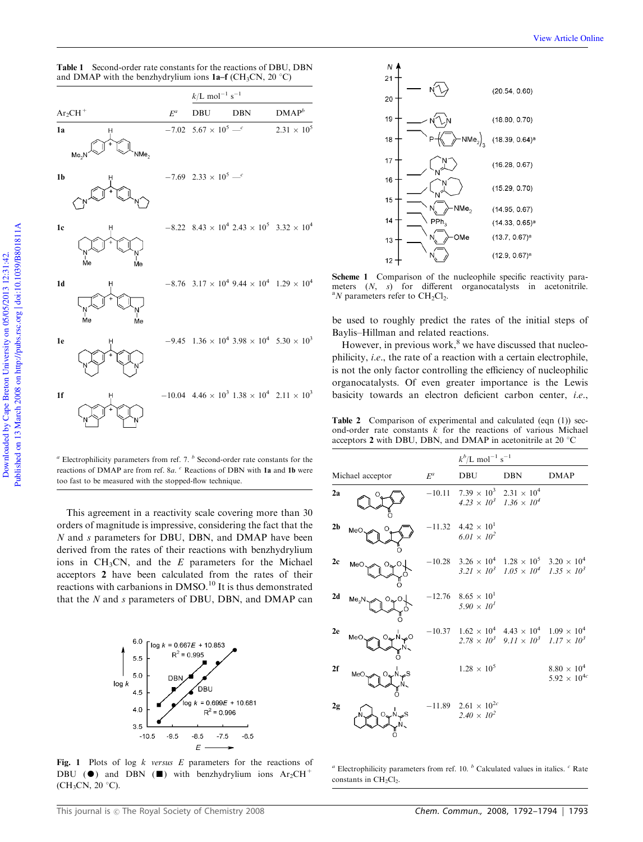Table 1 Second-order rate constants for the reactions of DBU, DBN and DMAP with the benzhydrylium ions  $1a-f$  (CH<sub>3</sub>CN, 20  $^{\circ}$ C)

|                |                                |                 | $k/{\rm L~mol^{-1}~s^{-1}}$                          |                                                                                                    |                                                                                          |
|----------------|--------------------------------|-----------------|------------------------------------------------------|----------------------------------------------------------------------------------------------------|------------------------------------------------------------------------------------------|
|                | $Ar_2CH^+$                     | $\mathcal{E}^a$ | DBU                                                  | <b>DBN</b>                                                                                         | $\mathbf{DMAP}^b$                                                                        |
| 1a             | н<br>NMe.<br>Me <sub>2</sub> N |                 | $-7.02\phantom{0}5.67\times10^{5}\,$ $-^c$           |                                                                                                    | $2.31 \times 10^{5}$                                                                     |
| 1 <sub>b</sub> |                                |                 | $-7.69$ 2.33 $\times$ 10 <sup>5</sup> — <sup>c</sup> |                                                                                                    |                                                                                          |
| 1 <sub>c</sub> | н<br>.<br>Me<br>Ńе             |                 |                                                      | $-8.22$ $8.43 \times 10^4$ $2.43 \times 10^5$ $3.32 \times 10^4$                                   |                                                                                          |
| 1 <sub>d</sub> | Н<br>'N<br>Me<br>Ńе            |                 |                                                      |                                                                                                    | $-8.76 \text{--} 3.17 \times 10^4 \text{--} 9.44 \times 10^4 \text{--} 1.29 \times 10^4$ |
| 1e             |                                |                 |                                                      | $-9.45$ 1.36 $\times$ 10 <sup>4</sup> 3.98 $\times$ 10 <sup>4</sup> 5.30 $\times$ 10 <sup>3</sup>  |                                                                                          |
| 1f             | н<br>$\ddot{}$                 |                 |                                                      | $-10.04$ 4.46 $\times$ 10 <sup>3</sup> 1.38 $\times$ 10 <sup>4</sup> 2.11 $\times$ 10 <sup>3</sup> |                                                                                          |

*<sup>a</sup>* Electrophilicity parameters from ref. 7. *<sup>b</sup>* Second-order rate constants for the reactions of DMAP are from ref. 8*a*. *<sup>c</sup>* Reactions of DBN with 1a and 1b were too fast to be measured with the stopped-flow technique.

This agreement in a reactivity scale covering more than 30 orders of magnitude is impressive, considering the fact that the *N* and *s* parameters for DBU, DBN, and DMAP have been derived from the rates of their reactions with benzhydrylium ions in CH3CN, and the *E* parameters for the Michael acceptors 2 have been calculated from the rates of their reactions with carbanions in DMSO.<sup>10</sup> It is thus demonstrated that the *N* and *s* parameters of DBU, DBN, and DMAP can



Fig. 1 Plots of log *k versus E* parameters for the reactions of DBU ( $\bullet$ ) and DBN ( $\blacksquare$ ) with benzhydrylium ions Ar<sub>2</sub>CH<sup>+</sup>  $(CH_3CN, 20 °C)$ .



Scheme 1 Comparison of the nucleophile specific reactivity parameters (*N*, *s*) for different organocatalysts in acetonitrile.  $\rm{^a}$ *N* parameters refer to CH<sub>2</sub>Cl<sub>2</sub>.

be used to roughly predict the rates of the initial steps of Baylis–Hillman and related reactions.

However, in previous work, $8$  we have discussed that nucleophilicity, *i.e.*, the rate of a reaction with a certain electrophile, is not the only factor controlling the efficiency of nucleophilic organocatalysts. Of even greater importance is the Lewis basicity towards an electron deficient carbon center, *i.e.*,

Table 2 Comparison of experimental and calculated (eqn (1)) second-order rate constants  $\vec{k}$  for the reactions of various Michael acceptors 2 with DBU, DBN, and DMAP in acetonitrile at 20 $\degree$ C

|                  |                 |       | $k^{b}/L$ mol <sup>-1</sup> s <sup>-1</sup>                                                        |                                                          |                                                        |
|------------------|-----------------|-------|----------------------------------------------------------------------------------------------------|----------------------------------------------------------|--------------------------------------------------------|
| Michael acceptor |                 | $E^a$ | <b>DBU</b>                                                                                         | <b>DBN</b>                                               | <b>DMAP</b>                                            |
| 2a               |                 |       | $-10.11$ 7.39 $\times$ 10 <sup>3</sup> 2.31 $\times$ 10 <sup>4</sup>                               | $4.23 \times 10^3$ 1.36 $\times 10^4$                    |                                                        |
| 2 <sub>b</sub>   | MeC             |       | $-11.32$ 4.42 $\times$ 10 <sup>1</sup><br>$6.01 \times 10^{2}$                                     |                                                          |                                                        |
| 2c               | MeC             |       | $-10.28$ 3.26 $\times$ 10 <sup>4</sup> 1.28 $\times$ 10 <sup>5</sup> 3.20 $\times$ 10 <sup>4</sup> | $3.21 \times 10^3$ $1.05 \times 10^4$ $1.35 \times 10^3$ |                                                        |
| 2d               | Me <sub>2</sub> |       | $-12.76$ 8.65 $\times$ 10 <sup>1</sup><br>$5.90 \times 10^{1}$                                     |                                                          |                                                        |
| 2e               | MeC             |       | $-10.37$ $1.62 \times 10^4$ $4.43 \times 10^4$ $1.09 \times 10^4$                                  | $2.78 \times 10^3$ $9.11 \times 10^3$ $1.17 \times 10^3$ |                                                        |
| 2f               | MeC             |       | $1.28 \times 10^{5}$                                                                               |                                                          | $8.80\,\times\,10^4$<br>5.92 $\times$ 10 <sup>4c</sup> |
| 2g               |                 |       | $-11.89$ 2.61 $\times$ 10 <sup>2c</sup><br>$2.40 \times 10^{2}$                                    |                                                          |                                                        |

*<sup>a</sup>* Electrophilicity parameters from ref. 10. *<sup>b</sup>* Calculated values in italics. *<sup>c</sup>* Rate constants in  $CH<sub>2</sub>Cl<sub>2</sub>$ .